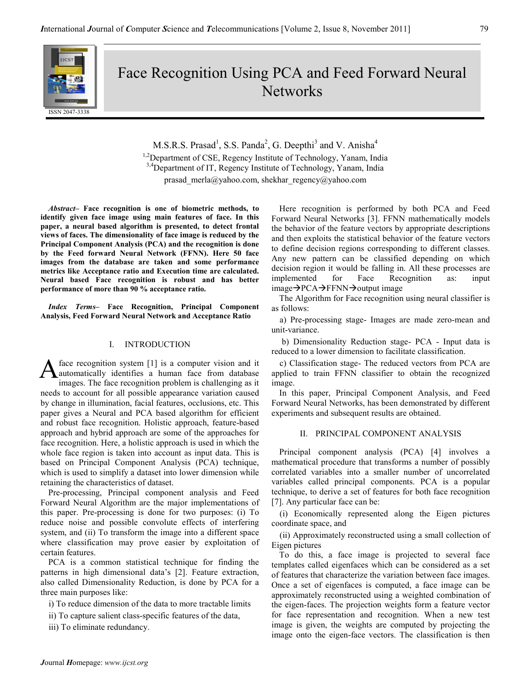Face Recognition Using PCA and Feed Forward Neural **Networks** 

M.S.R.S. Prasad<sup>1</sup>, S.S. Panda<sup>2</sup>, G. Deepthi<sup>3</sup> and V. Anisha<sup>4</sup> <sup>1,2</sup>Department of CSE, Regency Institute of Technology, Yanam, India <sup>3,4</sup>Department of IT, Regency Institute of Technology, Yanam, India prasad\_merla@yahoo.com, shekhar\_regency@yahoo.com

Abstract– Face recognition is one of biometric methods, to identify given face image using main features of face. In this paper, a neural based algorithm is presented, to detect frontal views of faces. The dimensionality of face image is reduced by the Principal Component Analysis (PCA) and the recognition is done by the Feed forward Neural Network (FFNN). Here 50 face images from the database are taken and some performance metrics like Acceptance ratio and Execution time are calculated. Neural based Face recognition is robust and has better performance of more than 90 % acceptance ratio.

Index Terms– Face Recognition, Principal Component Analysis, Feed Forward Neural Network and Acceptance Ratio

### I. INTRODUCTION

face recognition system [1] is a computer vision and it automatically identifies a human face from database images. The face recognition problem is challenging as it needs to account for all possible appearance variation caused by change in illumination, facial features, occlusions, etc. This paper gives a Neural and PCA based algorithm for efficient and robust face recognition. Holistic approach, feature-based approach and hybrid approach are some of the approaches for face recognition. Here, a holistic approach is used in which the whole face region is taken into account as input data. This is based on Principal Component Analysis (PCA) technique, which is used to simplify a dataset into lower dimension while retaining the characteristics of dataset. A

Pre-processing, Principal component analysis and Feed Forward Neural Algorithm are the major implementations of this paper. Pre-processing is done for two purposes: (i) To reduce noise and possible convolute effects of interfering system, and (ii) To transform the image into a different space where classification may prove easier by exploitation of certain features.

PCA is a common statistical technique for finding the patterns in high dimensional data's [2]. Feature extraction, also called Dimensionality Reduction, is done by PCA for a three main purposes like:

i) To reduce dimension of the data to more tractable limits

ii) To capture salient class-specific features of the data,

iii) To eliminate redundancy.

Here recognition is performed by both PCA and Feed Forward Neural Networks [3]. FFNN mathematically models the behavior of the feature vectors by appropriate descriptions and then exploits the statistical behavior of the feature vectors to define decision regions corresponding to different classes. Any new pattern can be classified depending on which decision region it would be falling in. All these processes are implemented for Face Recognition as: input  $image \rightarrow PCA \rightarrow FFNN \rightarrow output image$ 

The Algorithm for Face recognition using neural classifier is as follows:

a) Pre-processing stage- Images are made zero-mean and unit-variance.

 b) Dimensionality Reduction stage- PCA - Input data is reduced to a lower dimension to facilitate classification.

c) Classification stage- The reduced vectors from PCA are applied to train FFNN classifier to obtain the recognized image.

In this paper, Principal Component Analysis, and Feed Forward Neural Networks, has been demonstrated by different experiments and subsequent results are obtained.

## II. PRINCIPAL COMPONENT ANALYSIS

Principal component analysis (PCA) [4] involves a mathematical procedure that transforms a number of possibly correlated variables into a smaller number of uncorrelated variables called principal components. PCA is a popular technique, to derive a set of features for both face recognition [7]. Any particular face can be:

(i) Economically represented along the Eigen pictures coordinate space, and

(ii) Approximately reconstructed using a small collection of Eigen pictures

To do this, a face image is projected to several face templates called eigenfaces which can be considered as a set of features that characterize the variation between face images. Once a set of eigenfaces is computed, a face image can be approximately reconstructed using a weighted combination of the eigen-faces. The projection weights form a feature vector for face representation and recognition. When a new test image is given, the weights are computed by projecting the image onto the eigen-face vectors. The classification is then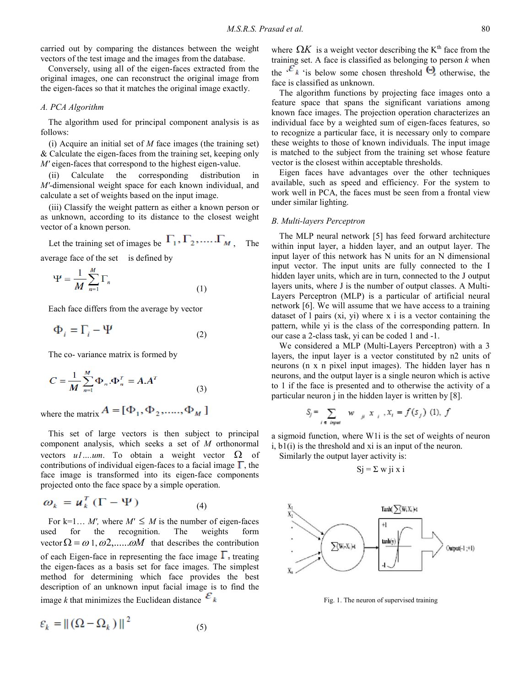carried out by comparing the distances between the weight vectors of the test image and the images from the database.

Conversely, using all of the eigen-faces extracted from the original images, one can reconstruct the original image from the eigen-faces so that it matches the original image exactly.

### A. PCA Algorithm

The algorithm used for principal component analysis is as follows:

(i) Acquire an initial set of  $M$  face images (the training set) & Calculate the eigen-faces from the training set, keeping only M' eigen-faces that correspond to the highest eigen-value.

(ii) Calculate the corresponding distribution in M'-dimensional weight space for each known individual, and calculate a set of weights based on the input image.

(iii) Classify the weight pattern as either a known person or as unknown, according to its distance to the closest weight vector of a known person.

Let the training set of images be  $\Gamma_1, \Gamma_2, \dots, \Gamma_M$ , The

average face of the set is defined by

$$
\Psi = \frac{1}{M} \sum_{n=1}^{M} \Gamma_n \tag{1}
$$

Each face differs from the average by vector

$$
\Phi_i = \Gamma_i - \Psi \tag{2}
$$

The co- variance matrix is formed by

$$
C = \frac{1}{M} \sum_{n=1}^{M} \Phi_n \cdot \Phi_n^T = A \cdot A^T
$$
 (3)

where the matrix  $A = [\Phi_1, \Phi_2, \dots, \Phi_M]$ 

This set of large vectors is then subject to principal component analysis, which seeks a set of M orthonormal vectors  $u1...u$ m. To obtain a weight vector  $\Omega$  of contributions of individual eigen-faces to a facial image  $\Gamma$ , the face image is transformed into its eigen-face components projected onto the face space by a simple operation.

$$
\omega_k = \boldsymbol{u}_k^T (\boldsymbol{\Gamma} - \boldsymbol{\Psi}) \tag{4}
$$

For k=1… M', where  $M' \leq M$  is the number of eigen-faces used for the recognition. The weights form vector  $\Omega = \omega$  1,  $\omega^2$ ,....... $\omega M$  that describes the contribution of each Eigen-face in representing the face image  $\Gamma$ , treating the eigen-faces as a basis set for face images. The simplest method for determining which face provides the best description of an unknown input facial image is to find the image k that minimizes the Euclidean distance  $\epsilon_k$ 

$$
\varepsilon_k = ||(\Omega - \Omega_k)||^2 \tag{5}
$$

where  $\Omega K$  is a weight vector describing the K<sup>th</sup> face from the training set. A face is classified as belonging to person  $k$  when the  $\mathcal{E}_k$  'is below some chosen threshold  $\Theta_k$  otherwise, the face is classified as unknown.

The algorithm functions by projecting face images onto a feature space that spans the significant variations among known face images. The projection operation characterizes an individual face by a weighted sum of eigen-faces features, so to recognize a particular face, it is necessary only to compare these weights to those of known individuals. The input image is matched to the subject from the training set whose feature vector is the closest within acceptable thresholds.

Eigen faces have advantages over the other techniques available, such as speed and efficiency. For the system to work well in PCA, the faces must be seen from a frontal view under similar lighting.

#### B. Multi-layers Perceptron

The MLP neural network [5] has feed forward architecture within input layer, a hidden layer, and an output layer. The input layer of this network has N units for an N dimensional input vector. The input units are fully connected to the I hidden layer units, which are in turn, connected to the J output layers units, where J is the number of output classes. A Multi-Layers Perceptron (MLP) is a particular of artificial neural network [6]. We will assume that we have access to a training dataset of l pairs (xi, yi) where x i is a vector containing the pattern, while yi is the class of the corresponding pattern. In our case a 2-class task, yi can be coded 1 and -1.

We considered a MLP (Multi-Layers Perceptron) with a 3 layers, the input layer is a vector constituted by n2 units of neurons (n x n pixel input images). The hidden layer has n neurons, and the output layer is a single neuron which is active to 1 if the face is presented and to otherwise the activity of a particular neuron j in the hidden layer is written by [8].

$$
S_j = \sum_{i \in input} w_{j,i} x_{i}, X_i = f(S_j)
$$
 (1), f

a sigmoid function, where W1i is the set of weights of neuron i, b1(i) is the threshold and xi is an input of the neuron.

Similarly the output layer activity is:

$$
Sj = \Sigma w ji x i
$$



Fig. 1. The neuron of supervised training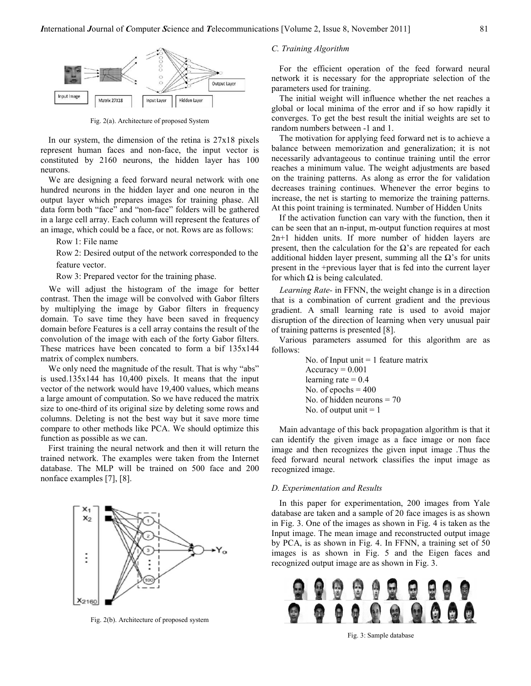

Fig. 2(a). Architecture of proposed System

In our system, the dimension of the retina is 27x18 pixels represent human faces and non-face, the input vector is constituted by 2160 neurons, the hidden layer has 100 neurons.

We are designing a feed forward neural network with one hundred neurons in the hidden layer and one neuron in the output layer which prepares images for training phase. All data form both "face" and "non-face" folders will be gathered in a large cell array. Each column will represent the features of an image, which could be a face, or not. Rows are as follows:

Row 1: File name

Row 2: Desired output of the network corresponded to the feature vector.

Row 3: Prepared vector for the training phase.

We will adjust the histogram of the image for better contrast. Then the image will be convolved with Gabor filters by multiplying the image by Gabor filters in frequency domain. To save time they have been saved in frequency domain before Features is a cell array contains the result of the convolution of the image with each of the forty Gabor filters. These matrices have been concated to form a bif 135x144 matrix of complex numbers.

We only need the magnitude of the result. That is why "abs" is used.135x144 has 10,400 pixels. It means that the input vector of the network would have 19,400 values, which means a large amount of computation. So we have reduced the matrix size to one-third of its original size by deleting some rows and columns. Deleting is not the best way but it save more time compare to other methods like PCA. We should optimize this function as possible as we can.

First training the neural network and then it will return the trained network. The examples were taken from the Internet database. The MLP will be trained on 500 face and 200 nonface examples [7], [8].



Fig. 2(b). Architecture of proposed system

# C. Training Algorithm

For the efficient operation of the feed forward neural network it is necessary for the appropriate selection of the parameters used for training.

The initial weight will influence whether the net reaches a global or local minima of the error and if so how rapidly it converges. To get the best result the initial weights are set to random numbers between -1 and 1.

The motivation for applying feed forward net is to achieve a balance between memorization and generalization; it is not necessarily advantageous to continue training until the error reaches a minimum value. The weight adjustments are based on the training patterns. As along as error the for validation decreases training continues. Whenever the error begins to increase, the net is starting to memorize the training patterns. At this point training is terminated. Number of Hidden Units

If the activation function can vary with the function, then it can be seen that an n-input, m-output function requires at most 2n+1 hidden units. If more number of hidden layers are present, then the calculation for the  $\Omega$ 's are repeated for each additional hidden layer present, summing all the  $\Omega$ 's for units present in the +previous layer that is fed into the current layer for which  $\Omega$  is being calculated.

Learning Rate- in FFNN, the weight change is in a direction that is a combination of current gradient and the previous gradient. A small learning rate is used to avoid major disruption of the direction of learning when very unusual pair of training patterns is presented [8].

Various parameters assumed for this algorithm are as follows:

> No. of Input unit  $= 1$  feature matrix  $Accuracy = 0.001$ learning rate  $= 0.4$ No. of epochs  $= 400$ No. of hidden neurons  $= 70$ No. of output unit  $= 1$

Main advantage of this back propagation algorithm is that it can identify the given image as a face image or non face image and then recognizes the given input image .Thus the feed forward neural network classifies the input image as recognized image.

### D. Experimentation and Results

In this paper for experimentation, 200 images from Yale database are taken and a sample of 20 face images is as shown in Fig. 3. One of the images as shown in Fig. 4 is taken as the Input image. The mean image and reconstructed output image by PCA, is as shown in Fig. 4. In FFNN, a training set of 50 images is as shown in Fig. 5 and the Eigen faces and recognized output image are as shown in Fig. 3.



Fig. 3: Sample database